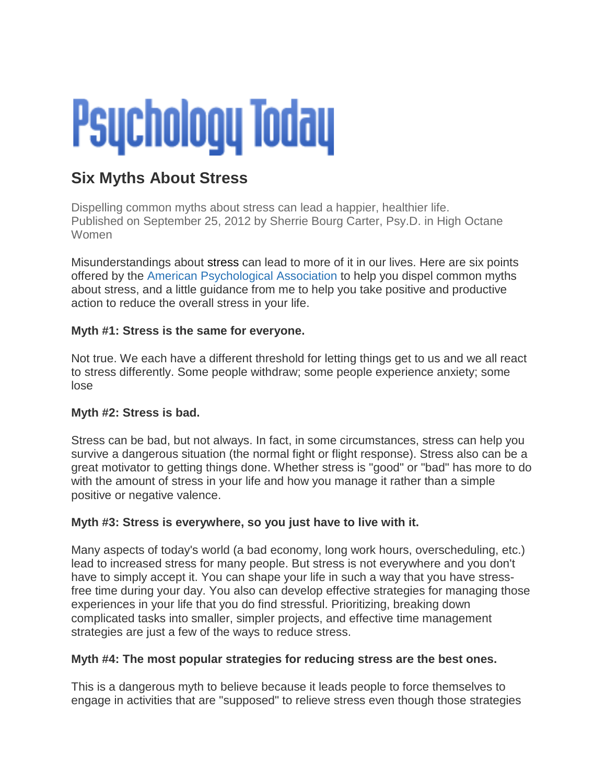# **Psychology Today**

# **Six Myths About Stress**

Dispelling common myths about stress can lead a happier, healthier life. Published on September 25, 2012 by [Sherrie Bourg Carter, Psy.D. i](http://www.psychologytoday.com/experts/sherrie-bourg-carter-psyd)n [High Octane](http://www.psychologytoday.com/blog/high-octane-women)  [Women](http://www.psychologytoday.com/blog/high-octane-women) 

Misunderstandings about [stress](http://www.psychologytoday.com/basics/stress) can lead to more of it in our lives. Here are six points offered by the [American Psychological Association](http://www.apa.org/helpcenter/stress-myths.aspx) to help you dispel common myths about stress, and a little guidance from me to help you take positive and productive action to reduce the overall stress in your life.

## **Myth #1: Stress is the same for everyone.**

Not true. We each have a different threshold for letting things get to us and we all react to stress differently. Some people withdraw; some people experience anxiety; some lose

## **Myth #2: Stress is bad.**

Stress can be bad, but not always. In fact, in some circumstances, stress can help you survive a dangerous situation (the normal fight or flight response). Stress also can be a great motivator to getting things done. Whether stress is "good" or "bad" has more to do with the amount of stress in your life and how you manage it rather than a simple positive or negative valence.

## **Myth #3: Stress is everywhere, so you just have to live with it.**

Many aspects of today's world (a bad economy, long work hours, overscheduling, etc.) lead to increased stress for many people. But stress is not everywhere and you don't have to simply accept it. You can shape your life in such a way that you have stressfree time during your day. You also can develop effective strategies for managing those experiences in your life that you do find stressful. Prioritizing, breaking down complicated tasks into smaller, simpler projects, and effective [time management](http://www.psychologytoday.com/basics/time-management) strategies are just a few of the ways to reduce stress.

## **Myth #4: The most popular strategies for reducing stress are the best ones.**

This is a dangerous myth to believe because it leads people to force themselves to engage in activities that are "supposed" to relieve stress even though those strategies